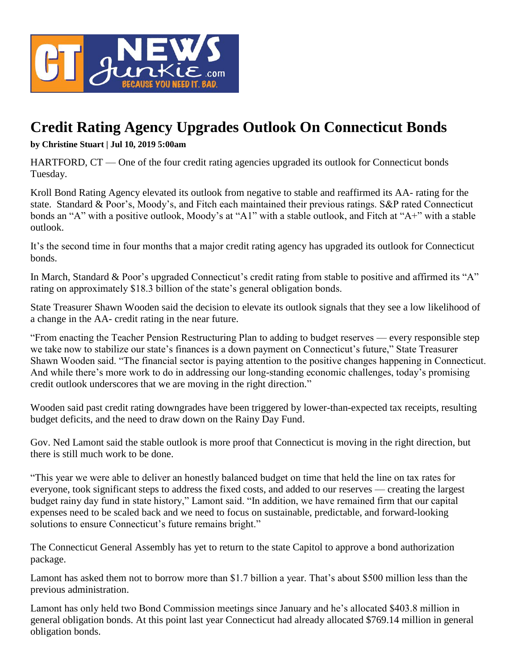

## **Credit Rating Agency Upgrades Outlook On Connecticut Bonds**

**by Christine Stuart | Jul 10, 2019 5:00am**

HARTFORD, CT — One of the four credit rating agencies upgraded its outlook for Connecticut bonds Tuesday.

Kroll Bond Rating Agency elevated its outlook from negative to stable and reaffirmed its AA- rating for the state. Standard & Poor's, Moody's, and Fitch each maintained their previous ratings. S&P rated Connecticut bonds an "A" with a positive outlook, Moody's at "A1" with a stable outlook, and Fitch at "A+" with a stable outlook.

It's the second time in four months that a major credit rating agency has upgraded its outlook for Connecticut bonds.

In March, Standard & Poor's upgraded Connecticut's credit rating from stable to positive and affirmed its "A" rating on approximately \$18.3 billion of the state's general obligation bonds.

State Treasurer Shawn Wooden said the decision to elevate its outlook signals that they see a low likelihood of a change in the AA- credit rating in the near future.

"From enacting the Teacher Pension Restructuring Plan to adding to budget reserves — every responsible step we take now to stabilize our state's finances is a down payment on Connecticut's future," State Treasurer Shawn Wooden said. "The financial sector is paying attention to the positive changes happening in Connecticut. And while there's more work to do in addressing our long-standing economic challenges, today's promising credit outlook underscores that we are moving in the right direction."

Wooden said past credit rating downgrades have been triggered by lower-than-expected tax receipts, resulting budget deficits, and the need to draw down on the Rainy Day Fund.

Gov. Ned Lamont said the stable outlook is more proof that Connecticut is moving in the right direction, but there is still much work to be done.

"This year we were able to deliver an honestly balanced budget on time that held the line on tax rates for everyone, took significant steps to address the fixed costs, and added to our reserves — creating the largest budget rainy day fund in state history," Lamont said. "In addition, we have remained firm that our capital expenses need to be scaled back and we need to focus on sustainable, predictable, and forward-looking solutions to ensure Connecticut's future remains bright."

The Connecticut General Assembly has yet to return to the state Capitol to approve a bond authorization package.

Lamont has asked them not to borrow more than \$1.7 billion a year. That's about \$500 million less than the previous administration.

Lamont has only held two Bond Commission meetings since January and he's allocated \$403.8 million in general obligation bonds. At this point last year Connecticut had already allocated \$769.14 million in general obligation bonds.